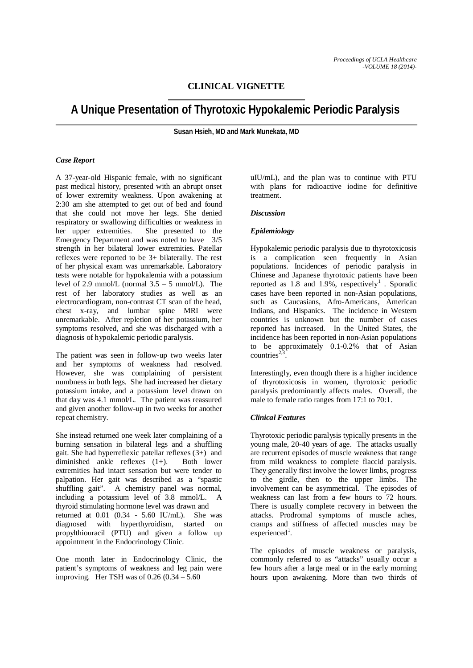# **CLINICAL VIGNETTE**

# **A Unique Presentation of Thyrotoxic Hypokalemic Periodic Paralysis**

**Susan Hsieh, MD and Mark Munekata, MD**

## *Case Report*

A 37-year-old Hispanic female, with no significant past medical history, presented with an abrupt onset of lower extremity weakness. Upon awakening at 2:30 am she attempted to get out of bed and found that she could not move her legs. She denied respiratory or swallowing difficulties or weakness in her upper extremities. She presented to the Emergency Department and was noted to have 3/5 strength in her bilateral lower extremities. Patellar reflexes were reported to be 3+ bilaterally. The rest of her physical exam was unremarkable. Laboratory tests were notable for hypokalemia with a potassium level of 2.9 mmol/L (normal  $3.5 - 5$  mmol/L). The rest of her laboratory studies as well as an electrocardiogram, non-contrast CT scan of the head, chest x-ray, and lumbar spine MRI were unremarkable. After repletion of her potassium, her symptoms resolved, and she was discharged with a diagnosis of hypokalemic periodic paralysis.

The patient was seen in follow-up two weeks later and her symptoms of weakness had resolved. However, she was complaining of persistent numbness in both legs. She had increased her dietary potassium intake, and a potassium level drawn on that day was 4.1 mmol/L. The patient was reassured and given another follow-up in two weeks for another repeat chemistry.

She instead returned one week later complaining of a burning sensation in bilateral legs and a shuffling gait. She had hyperreflexic patellar reflexes (3+) and diminished ankle reflexes (1+). Both lower extremities had intact sensation but were tender to palpation. Her gait was described as a "spastic shuffling gait". A chemistry panel was normal, including a potassium level of 3.8 mmol/L. A thyroid stimulating hormone level was drawn and returned at 0.01 (0.34 - 5.60 IU/mL). She was diagnosed with hyperthyroidism, started on propylthiouracil (PTU) and given a follow up appointment in the Endocrinology Clinic.

One month later in Endocrinology Clinic, the patient's symptoms of weakness and leg pain were improving. Her TSH was of  $0.26$  ( $0.34 - 5.60$ )

uIU/mL), and the plan was to continue with PTU with plans for radioactive iodine for definitive treatment.

## *Discussion*

#### *Epidemiology*

Hypokalemic periodic paralysis due to thyrotoxicosis is a complication seen frequently in Asian populations. Incidences of periodic paralysis in Chinese and Japanese thyrotoxic patients have been reported as  $1.8$  and  $1.9\%$ , respectively<sup>1</sup>. Sporadic cases have been reported in non-Asian populations, such as Caucasians, Afro-Americans, American Indians, and Hispanics. The incidence in Western countries is unknown but the number of cases reported has increased. In the United States, the incidence has been reported in non-Asian populations to be approximately 0.1-0.2% that of Asian countries<sup>2</sup>

Interestingly, even though there is a higher incidence of thyrotoxicosis in women, thyrotoxic periodic paralysis predominantly affects males. Overall, the male to female ratio ranges from 17:1 to 70:1.

## *Clinical Features*

Thyrotoxic periodic paralysis typically presents in the young male, 20-40 years of age. The attacks usually are recurrent episodes of muscle weakness that range from mild weakness to complete flaccid paralysis. They generally first involve the lower limbs, progress to the girdle, then to the upper limbs. The involvement can be asymmetrical. The episodes of weakness can last from a few hours to 72 hours. There is usually complete recovery in between the attacks. Prodromal symptoms of muscle aches, cramps and stiffness of affected muscles may be experienced<sup>1</sup>.

The episodes of muscle weakness or paralysis, commonly referred to as "attacks" usually occur a few hours after a large meal or in the early morning hours upon awakening. More than two thirds of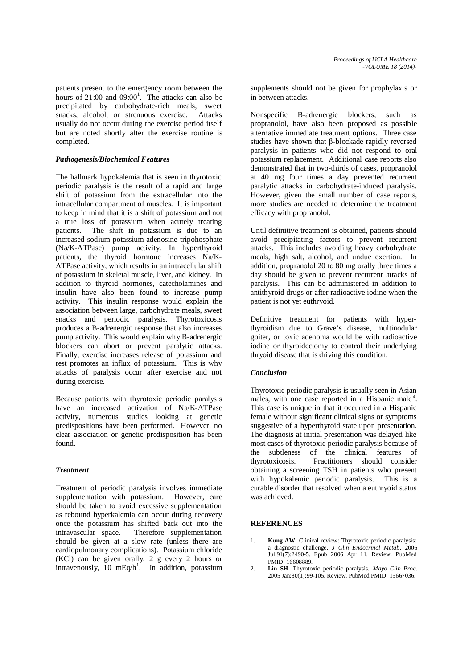patients present to the emergency room between the hours of  $21:00$  and  $09:00<sup>1</sup>$ . The attacks can also be precipitated by carbohydrate-rich meals, sweet snacks, alcohol, or strenuous exercise. Attacks usually do not occur during the exercise period itself but are noted shortly after the exercise routine is completed.

#### *Pathogenesis/Biochemical Features*

The hallmark hypokalemia that is seen in thyrotoxic periodic paralysis is the result of a rapid and large shift of potassium from the extracellular into the intracellular compartment of muscles. It is important to keep in mind that it is a shift of potassium and not a true loss of potassium when acutely treating patients. The shift in potassium is due to an increased sodium-potassium-adenosine tripohosphate (Na/K-ATPase) pump activity. In hyperthyroid patients, the thyroid hormone increases Na/K-ATPase activity, which results in an intracellular shift of potassium in skeletal muscle, liver, and kidney. In addition to thyroid hormones, catecholamines and insulin have also been found to increase pump activity. This insulin response would explain the association between large, carbohydrate meals, sweet snacks and periodic paralysis. Thyrotoxicosis produces a B-adrenergic response that also increases pump activity. This would explain why B-adrenergic blockers can abort or prevent paralytic attacks. Finally, exercise increases release of potassium and rest promotes an influx of potassium. This is why attacks of paralysis occur after exercise and not during exercise.

Because patients with thyrotoxic periodic paralysis have an increased activation of Na/K-ATPase activity, numerous studies looking at genetic predispositions have been performed. However, no clear association or genetic predisposition has been found.

## *Treatment*

Treatment of periodic paralysis involves immediate supplementation with potassium. However, care should be taken to avoid excessive supplementation as rebound hyperkalemia can occur during recovery once the potassium has shifted back out into the intravascular space. Therefore supplementation should be given at a slow rate (unless there are cardiopulmonary complications). Potassium chloride (KCl) can be given orally, 2 g every 2 hours or intravenously,  $10 \text{ mEq/h}^1$ . In addition, potassium

supplements should not be given for prophylaxis or in between attacks.

Nonspecific B-adrenergic blockers, such as propranolol, have also been proposed as possible alternative immediate treatment options. Three case studies have shown that β-blockade rapidly reversed paralysis in patients who did not respond to oral potassium replacement. Additional case reports also demonstrated that in two-thirds of cases, propranolol at 40 mg four times a day prevented recurrent paralytic attacks in carbohydrate-induced paralysis. However, given the small number of case reports, more studies are needed to determine the treatment efficacy with propranolol.

Until definitive treatment is obtained, patients should avoid precipitating factors to prevent recurrent attacks. This includes avoiding heavy carbohydrate meals, high salt, alcohol, and undue exertion. In addition, propranolol 20 to 80 mg orally three times a day should be given to prevent recurrent attacks of paralysis. This can be administered in addition to antithyroid drugs or after radioactive iodine when the patient is not yet euthryoid.

Definitive treatment for patients with hyperthyroidism due to Grave's disease, multinodular goiter, or toxic adenoma would be with radioactive iodine or thyroidectomy to control their underlying thryoid disease that is driving this condition.

## *Conclusion*

Thyrotoxic periodic paralysis is usually seen in Asian males, with one case reported in a Hispanic male<sup>4</sup>. This case is unique in that it occurred in a Hispanic female without significant clinical signs or symptoms suggestive of a hyperthyroid state upon presentation. The diagnosis at initial presentation was delayed like most cases of thyrotoxic periodic paralysis because of the subtleness of the clinical features of thyrotoxicosis. Practitioners should consider obtaining a screening TSH in patients who present with hypokalemic periodic paralysis. This is a curable disorder that resolved when a euthryoid status was achieved.

#### **REFERENCES**

- 1. **Kung AW**. Clinical review: Thyrotoxic periodic paralysis: a diagnostic challenge. *J Clin Endocrinol Metab*. 2006 Jul;91(7):2490-5. Epub 2006 Apr 11. Review. PubMed PMID: 16608889.
- 2. **Lin SH**. Thyrotoxic periodic paralysis. *Mayo Clin Proc*. 2005 Jan;80(1):99-105. Review. PubMed PMID: 15667036.